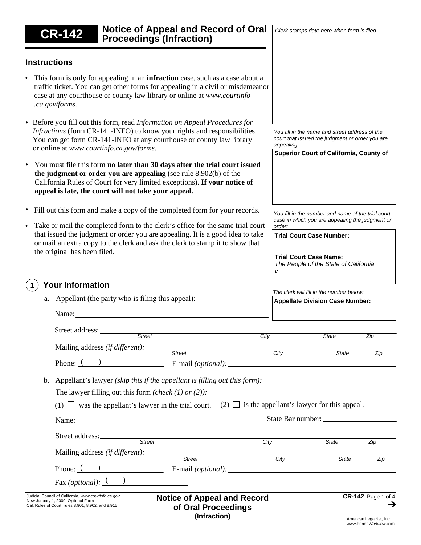#### **Notice of Appeal and Record of Oral Proceedings (Infraction)** Judicial Council of California, *www.courtinfo.ca.gov* New January 1, 2009, Optional Form Cal. Rules of Court, rules 8.901, 8.902, and 8.915 **CR-142**, Page 1 of 4 **Instructions** *You fill in the name and street address of the court that issued the judgment or order you are appealing:* **Superior Court of California, County of** • Take or mail the completed form to the clerk's office for the same trial court that issued the judgment or order you are appealing. It is a good idea to take or mail an extra copy to the clerk and ask the clerk to stamp it to show that the original has been filed. This form is only for appealing in an **infraction** case, such as a case about a traffic ticket. You can get other forms for appealing in a civil or misdemeanor case at any courthouse or county law library or online at *www.courtinfo .ca.gov/forms*. Before you fill out this form, read *Information on Appeal Procedures for* • *Infractions* (form CR-141-INFO) to know your rights and responsibilities. You can get form CR-141-INFO at any courthouse or county law library or online at *www.courtinfo.ca.gov/forms*. You must file this form **no later than 30 days after the trial court issued the judgment or order you are appealing** (see rule 8.902(b) of the California Rules of Court for very limited exceptions). **If your notice of appeal is late, the court will not take your appeal.** • Fill out this form and make a copy of the completed form for your records. • • **1 Your Information** (1)  $\Box$  was the appellant's lawyer in the trial court. (2)  $\Box$  is the appellant's lawyer for this appeal. *The clerk will fill in the number below:* **Appellate Division Case Number:** *You fill in the number and name of the trial court case in which you are appealing the judgment or order: Street City State Zip* Phone: E-mail *(optional):* ( ) *Street City State Zip* Street address: Mailing address *(if different):*  a. Appellant (the party who is filing this appeal): Fax *(optional)*:  $\frac{(-)}{(-)}$ Phone: ( ) E-mail *(optional)*: Name: State Bar number: Street address: Mailing address *(if different): Street City State Zip Street City State Zip* b. Appellant's lawyer *(skip this if the appellant is filling out this form):*  The lawyer filling out this form *(check (1) or (2)):* **Trial Court Case Number: Trial Court Case Name:** *The People of the State of California v.* Name:

**CR-142 Notice of Appeal and Record of Oral Proceedings (Infraction)**

*Clerk stamps date here when form is filed.*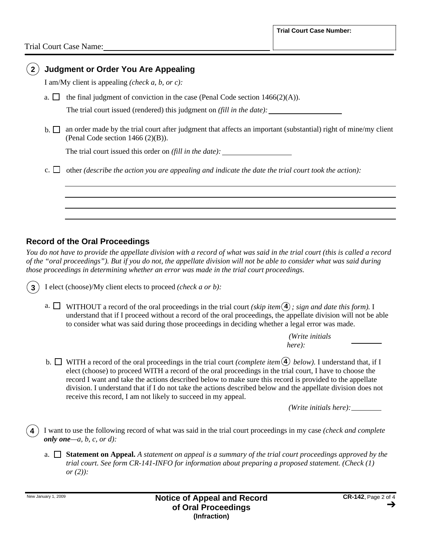| <b>Judgment or Order You Are Appealing</b> |                                                                                                                                                        |  |
|--------------------------------------------|--------------------------------------------------------------------------------------------------------------------------------------------------------|--|
|                                            | I am/My client is appealing (check a, b, or c):                                                                                                        |  |
| a.                                         | the final judgment of conviction in the case (Penal Code section $1466(2)(A)$ ).                                                                       |  |
|                                            | The trial court issued (rendered) this judgment on <i>(fill in the date)</i> :                                                                         |  |
| $\mathbf{b}$ . $\mathbf{1}$                | an order made by the trial court after judgment that affects an important (substantial) right of mine/my client<br>(Penal Code section $1466(2)(B)$ ). |  |
|                                            | The trial court issued this order on <i>(fill in the date)</i> :                                                                                       |  |
|                                            | other <i>(describe the action you are appealing and indicate the date the trial court took the action)</i> :                                           |  |
|                                            |                                                                                                                                                        |  |
|                                            |                                                                                                                                                        |  |
|                                            |                                                                                                                                                        |  |

### **Record of the Oral Proceedings**

*You do not have to provide the appellate division with a record of what was said in the trial court (this is called a record of the "oral proceedings"). But if you do not, the appellate division will not be able to consider what was said during those proceedings in determining whether an error was made in the trial court proceedings.*

I elect (choose)/My client elects to proceed *(check a or b):* **3**

a.  $\Box$  WITHOUT a record of the oral proceedings in the trial court *(skip item*  $\Diamond$ ); sign and date this form). I understand that if I proceed without a record of the oral proceedings, the appellate division will not be able to consider what was said during those proceedings in deciding whether a legal error was made.

> *(Write initials here):*

b.  $\Box$  WITH a record of the oral proceedings in the trial court *(complete item*  $\Diamond$ ) *below*). I understand that, if I elect (choose) to proceed WITH a record of the oral proceedings in the trial court, I have to choose the record I want and take the actions described below to make sure this record is provided to the appellate division. I understand that if I do not take the actions described below and the appellate division does not receive this record, I am not likely to succeed in my appeal.

*(Write initials here):*

I want to use the following record of what was said in the trial court proceedings in my case *(check and complete only one—a, b, c, or d):*

a. **Statement on Appeal.** *A statement on appeal is a summary of the trial court proceedings approved by the trial court. See form CR-141-INFO for information about preparing a proposed statement. (Check (1) or (2)):*

**4**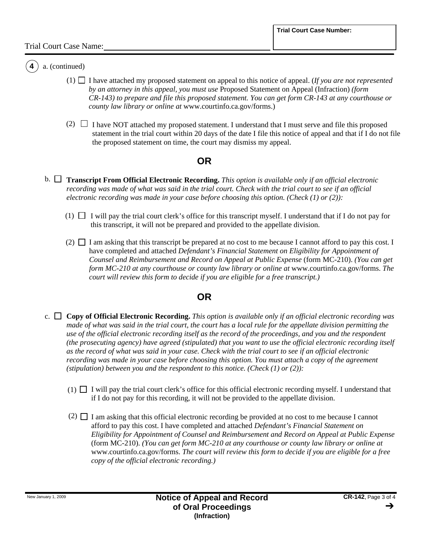#### a. (continued)

**4**

- $(1)$   $\Box$  I have attached my proposed statement on appeal to this notice of appeal. (*If you are not represented by an attorney in this appeal, you must use* Proposed Statement on Appeal (Infraction) *(form CR-143) to prepare and file this proposed statement. You can get form CR-143 at any courthouse or county law library or online at* www.courtinfo.ca.gov/forms.)
- $(2)$   $\Box$  I have NOT attached my proposed statement. I understand that I must serve and file this proposed statement in the trial court within 20 days of the date I file this notice of appeal and that if I do not file the proposed statement on time, the court may dismiss my appeal.

## **OR**

- b. **Transcript From Official Electronic Recording.** *This option is available only if an official electronic recording was made of what was said in the trial court. Check with the trial court to see if an official electronic recording was made in your case before choosing this option. (Check (1) or (2)):*
	- $(1)$   $\Box$  I will pay the trial court clerk's office for this transcript myself. I understand that if I do not pay for this transcript, it will not be prepared and provided to the appellate division.
	- $(2)$   $\Box$  I am asking that this transcript be prepared at no cost to me because I cannot afford to pay this cost. I have completed and attached *Defendant's Financial Statement on Eligibility for Appointment of Counsel and Reimbursement and Record on Appeal at Public Expense* (form MC-210). *(You can get form MC-210 at any courthouse or county law library or online at www.courtinfo.ca.gov/forms. The court will review this form to decide if you are eligible for a free transcript.)*

### **OR**

- c.  $\Box$  Copy of Official Electronic Recording. This option is available only if an official electronic recording was *made of what was said in the trial court, the court has a local rule for the appellate division permitting the use of the official electronic recording itself as the record of the proceedings, and you and the respondent (the prosecuting agency) have agreed (stipulated) that you want to use the official electronic recording itself as the record of what was said in your case. Check with the trial court to see if an official electronic recording was made in your case before choosing this option. You must attach a copy of the agreement (stipulation) between you and the respondent to this notice. (Check (1) or (2)):*
	- $(1)$  I will pay the trial court clerk's office for this official electronic recording myself. I understand that if I do not pay for this recording, it will not be provided to the appellate division.
	- $(2)$   $\Box$  I am asking that this official electronic recording be provided at no cost to me because I cannot afford to pay this cost. I have completed and attached *Defendant's Financial Statement on Eligibility for Appointment of Counsel and Reimbursement and Record on Appeal at Public Expense*  (form MC-210). *(You can get form MC-210 at any courthouse or county law library or online at*  www.courtinfo.ca.gov/forms. *The court will review this form to decide if you are eligible for a free copy of the official electronic recording.)*